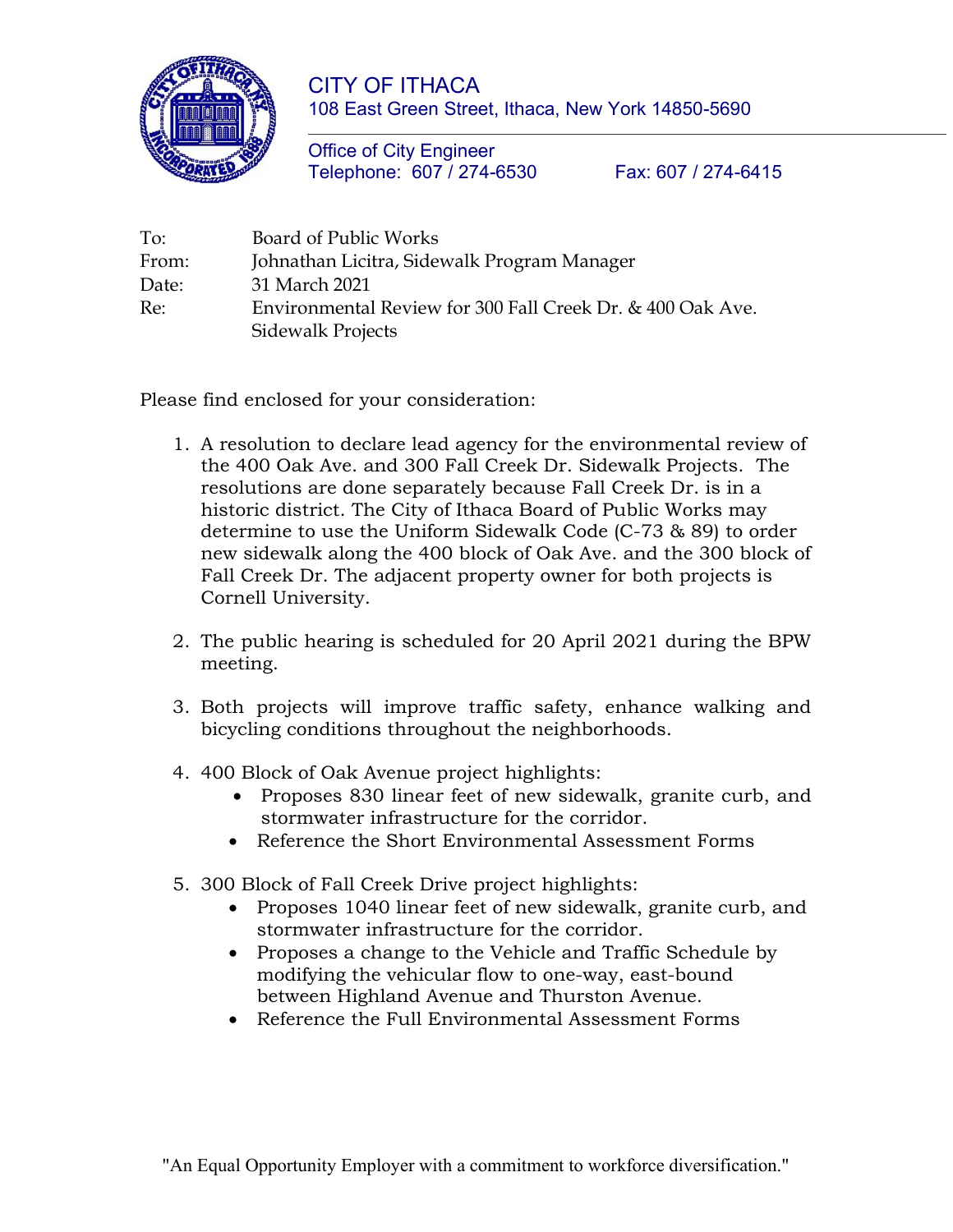

CITY OF ITHACA 108 East Green Street, Ithaca, New York 14850-5690

Office of City Engineer Telephone: 607 / 274-6530 Fax: 607 / 274-6415

| To:   | Board of Public Works                                      |
|-------|------------------------------------------------------------|
| From: | Johnathan Licitra, Sidewalk Program Manager                |
| Date: | 31 March 2021                                              |
| Re:   | Environmental Review for 300 Fall Creek Dr. & 400 Oak Ave. |
|       | <b>Sidewalk Projects</b>                                   |

Please find enclosed for your consideration:

- 1. A resolution to declare lead agency for the environmental review of the 400 Oak Ave. and 300 Fall Creek Dr. Sidewalk Projects. The resolutions are done separately because Fall Creek Dr. is in a historic district. The City of Ithaca Board of Public Works may determine to use the Uniform Sidewalk Code (C-73 & 89) to order new sidewalk along the 400 block of Oak Ave. and the 300 block of Fall Creek Dr. The adjacent property owner for both projects is Cornell University.
- 2. The public hearing is scheduled for 20 April 2021 during the BPW meeting.
- 3. Both projects will improve traffic safety, enhance walking and bicycling conditions throughout the neighborhoods.
- 4. 400 Block of Oak Avenue project highlights:
	- Proposes 830 linear feet of new sidewalk, granite curb, and stormwater infrastructure for the corridor.
	- Reference the Short Environmental Assessment Forms
- 5. 300 Block of Fall Creek Drive project highlights:
	- Proposes 1040 linear feet of new sidewalk, granite curb, and stormwater infrastructure for the corridor.
	- Proposes a change to the Vehicle and Traffic Schedule by modifying the vehicular flow to one-way, east-bound between Highland Avenue and Thurston Avenue.
	- Reference the Full Environmental Assessment Forms